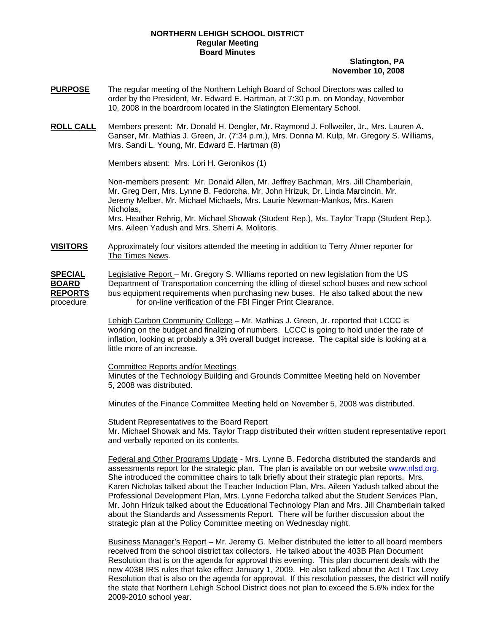## **NORTHERN LEHIGH SCHOOL DISTRICT Regular Meeting Board Minutes**

## **Slatington, PA November 10, 2008**

- **PURPOSE** The regular meeting of the Northern Lehigh Board of School Directors was called to order by the President, Mr. Edward E. Hartman, at 7:30 p.m. on Monday, November 10, 2008 in the boardroom located in the Slatington Elementary School.
- **ROLL CALL** Members present: Mr. Donald H. Dengler, Mr. Raymond J. Follweiler, Jr., Mrs. Lauren A. Ganser, Mr. Mathias J. Green, Jr. (7:34 p.m.), Mrs. Donna M. Kulp, Mr. Gregory S. Williams, Mrs. Sandi L. Young, Mr. Edward E. Hartman (8)

Members absent: Mrs. Lori H. Geronikos (1)

Non-members present: Mr. Donald Allen, Mr. Jeffrey Bachman, Mrs. Jill Chamberlain, Mr. Greg Derr, Mrs. Lynne B. Fedorcha, Mr. John Hrizuk, Dr. Linda Marcincin, Mr. Jeremy Melber, Mr. Michael Michaels, Mrs. Laurie Newman-Mankos, Mrs. Karen Nicholas, Mrs. Heather Rehrig, Mr. Michael Showak (Student Rep.), Ms. Taylor Trapp (Student Rep.),

Mrs. Aileen Yadush and Mrs. Sherri A. Molitoris.

**VISITORS** Approximately four visitors attended the meeting in addition to Terry Ahner reporter for The Times News.

**SPECIAL** Legislative Report – Mr. Gregory S. Williams reported on new legislation from the US **BOARD** Department of Transportation concerning the idling of diesel school buses and new school **REPORTS** bus equipment requirements when purchasing new buses. He also talked about the new procedure **for on-line verification of the FBI Finger Print Clearance.** 

> Lehigh Carbon Community College – Mr. Mathias J. Green, Jr. reported that LCCC is working on the budget and finalizing of numbers. LCCC is going to hold under the rate of inflation, looking at probably a 3% overall budget increase. The capital side is looking at a little more of an increase.

## Committee Reports and/or Meetings

Minutes of the Technology Building and Grounds Committee Meeting held on November 5, 2008 was distributed.

Minutes of the Finance Committee Meeting held on November 5, 2008 was distributed.

Student Representatives to the Board Report

Mr. Michael Showak and Ms. Taylor Trapp distributed their written student representative report and verbally reported on its contents.

Federal and Other Programs Update - Mrs. Lynne B. Fedorcha distributed the standards and assessments report for the strategic plan. The plan is available on our website [www.nlsd.org](http://www.nlsd.org/). She introduced the committee chairs to talk briefly about their strategic plan reports. Mrs. Karen Nicholas talked about the Teacher Induction Plan, Mrs. Aileen Yadush talked about the Professional Development Plan, Mrs. Lynne Fedorcha talked abut the Student Services Plan, Mr. John Hrizuk talked about the Educational Technology Plan and Mrs. Jill Chamberlain talked about the Standards and Assessments Report. There will be further discussion about the strategic plan at the Policy Committee meeting on Wednesday night.

Business Manager's Report – Mr. Jeremy G. Melber distributed the letter to all board members received from the school district tax collectors. He talked about the 403B Plan Document Resolution that is on the agenda for approval this evening. This plan document deals with the new 403B IRS rules that take effect January 1, 2009. He also talked about the Act I Tax Levy Resolution that is also on the agenda for approval. If this resolution passes, the district will notify the state that Northern Lehigh School District does not plan to exceed the 5.6% index for the 2009-2010 school year.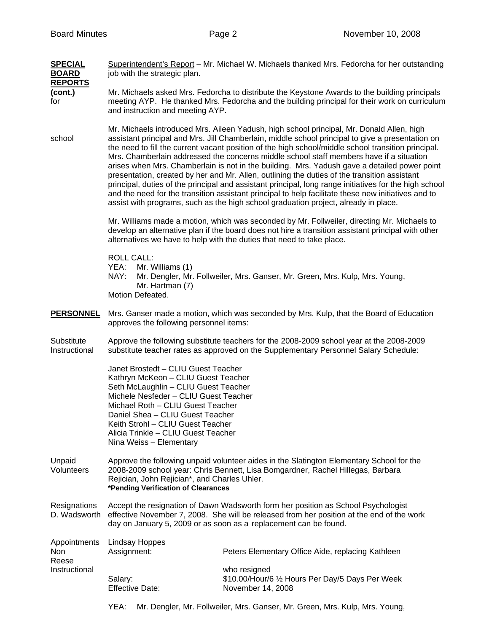| <b>SPECIAL</b><br><b>BOARD</b><br><b>REPORTS</b> | Superintendent's Report – Mr. Michael W. Michaels thanked Mrs. Fedorcha for her outstanding<br>job with the strategic plan.                                                                                                                                                                                                                 |                                                                                                                                                                                                                                                                                                                                                                                                                                                                                                                                                                                                                                                                                                                                                                                                                                                                                                         |  |  |
|--------------------------------------------------|---------------------------------------------------------------------------------------------------------------------------------------------------------------------------------------------------------------------------------------------------------------------------------------------------------------------------------------------|---------------------------------------------------------------------------------------------------------------------------------------------------------------------------------------------------------------------------------------------------------------------------------------------------------------------------------------------------------------------------------------------------------------------------------------------------------------------------------------------------------------------------------------------------------------------------------------------------------------------------------------------------------------------------------------------------------------------------------------------------------------------------------------------------------------------------------------------------------------------------------------------------------|--|--|
| (cont.)<br>for                                   | Mr. Michaels asked Mrs. Fedorcha to distribute the Keystone Awards to the building principals<br>meeting AYP. He thanked Mrs. Fedorcha and the building principal for their work on curriculum<br>and instruction and meeting AYP.                                                                                                          |                                                                                                                                                                                                                                                                                                                                                                                                                                                                                                                                                                                                                                                                                                                                                                                                                                                                                                         |  |  |
| school                                           |                                                                                                                                                                                                                                                                                                                                             | Mr. Michaels introduced Mrs. Aileen Yadush, high school principal, Mr. Donald Allen, high<br>assistant principal and Mrs. Jill Chamberlain, middle school principal to give a presentation on<br>the need to fill the current vacant position of the high school/middle school transition principal.<br>Mrs. Chamberlain addressed the concerns middle school staff members have if a situation<br>arises when Mrs. Chamberlain is not in the building. Mrs. Yadush gave a detailed power point<br>presentation, created by her and Mr. Allen, outlining the duties of the transition assistant<br>principal, duties of the principal and assistant principal, long range initiatives for the high school<br>and the need for the transition assistant principal to help facilitate these new initiatives and to<br>assist with programs, such as the high school graduation project, already in place. |  |  |
|                                                  | Mr. Williams made a motion, which was seconded by Mr. Follweiler, directing Mr. Michaels to<br>develop an alternative plan if the board does not hire a transition assistant principal with other<br>alternatives we have to help with the duties that need to take place.                                                                  |                                                                                                                                                                                                                                                                                                                                                                                                                                                                                                                                                                                                                                                                                                                                                                                                                                                                                                         |  |  |
|                                                  | <b>ROLL CALL:</b><br>YEA:<br>Mr. Williams (1)<br>NAY:<br>Mr. Hartman (7)<br>Motion Defeated.                                                                                                                                                                                                                                                | Mr. Dengler, Mr. Follweiler, Mrs. Ganser, Mr. Green, Mrs. Kulp, Mrs. Young,                                                                                                                                                                                                                                                                                                                                                                                                                                                                                                                                                                                                                                                                                                                                                                                                                             |  |  |
| <b>PERSONNEL</b>                                 | Mrs. Ganser made a motion, which was seconded by Mrs. Kulp, that the Board of Education<br>approves the following personnel items:                                                                                                                                                                                                          |                                                                                                                                                                                                                                                                                                                                                                                                                                                                                                                                                                                                                                                                                                                                                                                                                                                                                                         |  |  |
| Substitute<br>Instructional                      | Approve the following substitute teachers for the 2008-2009 school year at the 2008-2009<br>substitute teacher rates as approved on the Supplementary Personnel Salary Schedule:                                                                                                                                                            |                                                                                                                                                                                                                                                                                                                                                                                                                                                                                                                                                                                                                                                                                                                                                                                                                                                                                                         |  |  |
|                                                  | Janet Brostedt - CLIU Guest Teacher<br>Kathryn McKeon - CLIU Guest Teacher<br>Seth McLaughlin - CLIU Guest Teacher<br>Michele Nesfeder - CLIU Guest Teacher<br>Michael Roth - CLIU Guest Teacher<br>Daniel Shea - CLIU Guest Teacher<br>Keith Strohl - CLIU Guest Teacher<br>Alicia Trinkle - CLIU Guest Teacher<br>Nina Weiss - Elementary |                                                                                                                                                                                                                                                                                                                                                                                                                                                                                                                                                                                                                                                                                                                                                                                                                                                                                                         |  |  |
| Unpaid<br>Volunteers                             | Approve the following unpaid volunteer aides in the Slatington Elementary School for the<br>2008-2009 school year: Chris Bennett, Lisa Bomgardner, Rachel Hillegas, Barbara<br>Rejician, John Rejician*, and Charles Uhler.<br>*Pending Verification of Clearances                                                                          |                                                                                                                                                                                                                                                                                                                                                                                                                                                                                                                                                                                                                                                                                                                                                                                                                                                                                                         |  |  |
| Resignations<br>D. Wadsworth                     | Accept the resignation of Dawn Wadsworth form her position as School Psychologist<br>effective November 7, 2008. She will be released from her position at the end of the work<br>day on January 5, 2009 or as soon as a replacement can be found.                                                                                          |                                                                                                                                                                                                                                                                                                                                                                                                                                                                                                                                                                                                                                                                                                                                                                                                                                                                                                         |  |  |
| Appointments<br>Non<br>Reese<br>Instructional    | <b>Lindsay Hoppes</b><br>Assignment:                                                                                                                                                                                                                                                                                                        | Peters Elementary Office Aide, replacing Kathleen                                                                                                                                                                                                                                                                                                                                                                                                                                                                                                                                                                                                                                                                                                                                                                                                                                                       |  |  |
|                                                  | Salary:<br><b>Effective Date:</b>                                                                                                                                                                                                                                                                                                           | who resigned<br>\$10.00/Hour/6 1/2 Hours Per Day/5 Days Per Week<br>November 14, 2008                                                                                                                                                                                                                                                                                                                                                                                                                                                                                                                                                                                                                                                                                                                                                                                                                   |  |  |

YEA: Mr. Dengler, Mr. Follweiler, Mrs. Ganser, Mr. Green, Mrs. Kulp, Mrs. Young,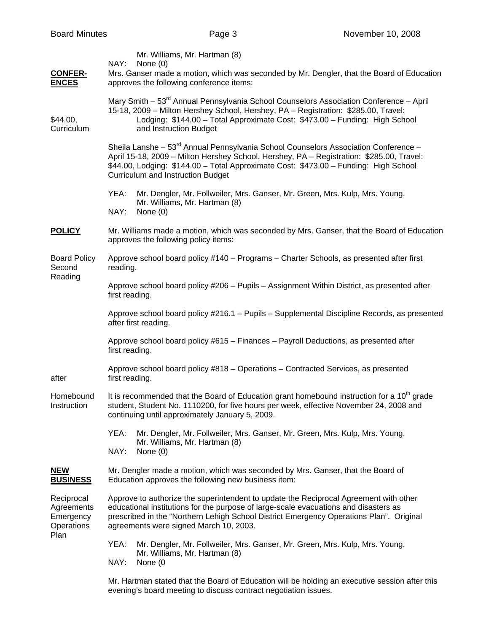| <b>Board Minutes</b>                                        |                                                                                                                                                                                                                                                                                                                                 | Page 3                                                                                                                                                                                                                                                                                                             | November 10, 2008 |  |  |
|-------------------------------------------------------------|---------------------------------------------------------------------------------------------------------------------------------------------------------------------------------------------------------------------------------------------------------------------------------------------------------------------------------|--------------------------------------------------------------------------------------------------------------------------------------------------------------------------------------------------------------------------------------------------------------------------------------------------------------------|-------------------|--|--|
| <b>CONFER-</b><br><b>ENCES</b>                              | Mr. Williams, Mr. Hartman (8)<br>NAY:<br>None $(0)$<br>Mrs. Ganser made a motion, which was seconded by Mr. Dengler, that the Board of Education<br>approves the following conference items:                                                                                                                                    |                                                                                                                                                                                                                                                                                                                    |                   |  |  |
| \$44.00,<br>Curriculum                                      | Mary Smith - 53 <sup>rd</sup> Annual Pennsylvania School Counselors Association Conference - April<br>15-18, 2009 - Milton Hershey School, Hershey, PA - Registration: \$285.00, Travel:<br>Lodging: \$144.00 - Total Approximate Cost: \$473.00 - Funding: High School<br>and Instruction Budget                               |                                                                                                                                                                                                                                                                                                                    |                   |  |  |
|                                                             | Sheila Lanshe - 53 <sup>rd</sup> Annual Pennsylvania School Counselors Association Conference -<br>April 15-18, 2009 - Milton Hershey School, Hershey, PA - Registration: \$285.00, Travel:<br>\$44.00, Lodging: \$144.00 - Total Approximate Cost: \$473.00 - Funding: High School<br><b>Curriculum and Instruction Budget</b> |                                                                                                                                                                                                                                                                                                                    |                   |  |  |
|                                                             | YEA:<br>NAY:                                                                                                                                                                                                                                                                                                                    | Mr. Dengler, Mr. Follweiler, Mrs. Ganser, Mr. Green, Mrs. Kulp, Mrs. Young,<br>Mr. Williams, Mr. Hartman (8)<br>None $(0)$                                                                                                                                                                                         |                   |  |  |
| <b>POLICY</b>                                               | Mr. Williams made a motion, which was seconded by Mrs. Ganser, that the Board of Education<br>approves the following policy items:                                                                                                                                                                                              |                                                                                                                                                                                                                                                                                                                    |                   |  |  |
| <b>Board Policy</b><br>Second<br>Reading                    | reading.                                                                                                                                                                                                                                                                                                                        | Approve school board policy #140 - Programs - Charter Schools, as presented after first                                                                                                                                                                                                                            |                   |  |  |
|                                                             | Approve school board policy #206 - Pupils - Assignment Within District, as presented after<br>first reading.                                                                                                                                                                                                                    |                                                                                                                                                                                                                                                                                                                    |                   |  |  |
|                                                             | Approve school board policy #216.1 - Pupils - Supplemental Discipline Records, as presented<br>after first reading.                                                                                                                                                                                                             |                                                                                                                                                                                                                                                                                                                    |                   |  |  |
|                                                             | Approve school board policy #615 - Finances - Payroll Deductions, as presented after<br>first reading.                                                                                                                                                                                                                          |                                                                                                                                                                                                                                                                                                                    |                   |  |  |
| after                                                       | Approve school board policy #818 - Operations - Contracted Services, as presented<br>first reading.                                                                                                                                                                                                                             |                                                                                                                                                                                                                                                                                                                    |                   |  |  |
| Homebound<br>Instruction                                    | It is recommended that the Board of Education grant homebound instruction for a 10 <sup>th</sup> grade<br>student, Student No. 1110200, for five hours per week, effective November 24, 2008 and<br>continuing until approximately January 5, 2009.                                                                             |                                                                                                                                                                                                                                                                                                                    |                   |  |  |
|                                                             | YEA:<br>NAY:                                                                                                                                                                                                                                                                                                                    | Mr. Dengler, Mr. Follweiler, Mrs. Ganser, Mr. Green, Mrs. Kulp, Mrs. Young,<br>Mr. Williams, Mr. Hartman (8)<br>None (0)                                                                                                                                                                                           |                   |  |  |
| <b>NEW</b><br><b>BUSINESS</b>                               |                                                                                                                                                                                                                                                                                                                                 | Mr. Dengler made a motion, which was seconded by Mrs. Ganser, that the Board of<br>Education approves the following new business item:                                                                                                                                                                             |                   |  |  |
| Reciprocal<br>Agreements<br>Emergency<br>Operations<br>Plan |                                                                                                                                                                                                                                                                                                                                 | Approve to authorize the superintendent to update the Reciprocal Agreement with other<br>educational institutions for the purpose of large-scale evacuations and disasters as<br>prescribed in the "Northern Lehigh School District Emergency Operations Plan". Original<br>agreements were signed March 10, 2003. |                   |  |  |
|                                                             | YEA:<br>NAY:                                                                                                                                                                                                                                                                                                                    | Mr. Dengler, Mr. Follweiler, Mrs. Ganser, Mr. Green, Mrs. Kulp, Mrs. Young,<br>Mr. Williams, Mr. Hartman (8)<br>None (0                                                                                                                                                                                            |                   |  |  |
|                                                             |                                                                                                                                                                                                                                                                                                                                 | Mr. Hartman stated that the Board of Education will be holding an executive session after this<br>evening's board meeting to discuss contract negotiation issues.                                                                                                                                                  |                   |  |  |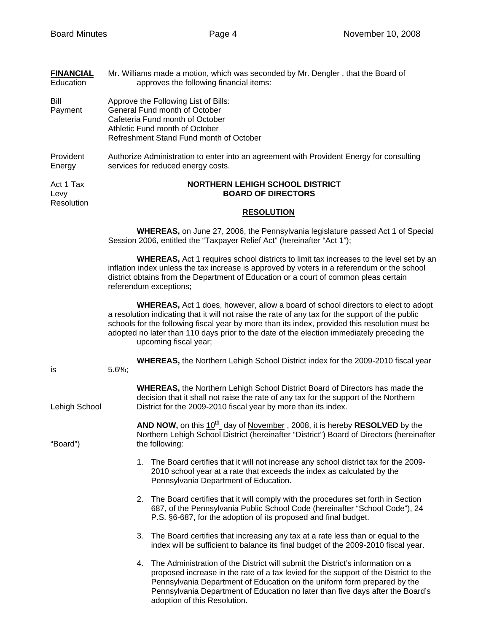**FINANCIAL** Mr. Williams made a motion, which was seconded by Mr. Dengler , that the Board of

| Education                       | approves the following financial items:                                                                                                                                                                                                                                                                                                                                                                               |  |  |  |
|---------------------------------|-----------------------------------------------------------------------------------------------------------------------------------------------------------------------------------------------------------------------------------------------------------------------------------------------------------------------------------------------------------------------------------------------------------------------|--|--|--|
| Bill<br>Payment                 | Approve the Following List of Bills:<br>General Fund month of October<br>Cafeteria Fund month of October<br>Athletic Fund month of October<br>Refreshment Stand Fund month of October                                                                                                                                                                                                                                 |  |  |  |
| Provident<br>Energy             | Authorize Administration to enter into an agreement with Provident Energy for consulting<br>services for reduced energy costs.                                                                                                                                                                                                                                                                                        |  |  |  |
| Act 1 Tax<br>Levy<br>Resolution | <b>NORTHERN LEHIGH SCHOOL DISTRICT</b><br><b>BOARD OF DIRECTORS</b>                                                                                                                                                                                                                                                                                                                                                   |  |  |  |
|                                 | <b>RESOLUTION</b>                                                                                                                                                                                                                                                                                                                                                                                                     |  |  |  |
|                                 | <b>WHEREAS</b> , on June 27, 2006, the Pennsylvania legislature passed Act 1 of Special<br>Session 2006, entitled the "Taxpayer Relief Act" (hereinafter "Act 1");                                                                                                                                                                                                                                                    |  |  |  |
|                                 | <b>WHEREAS, Act 1 requires school districts to limit tax increases to the level set by an</b><br>inflation index unless the tax increase is approved by voters in a referendum or the school<br>district obtains from the Department of Education or a court of common pleas certain<br>referendum exceptions;                                                                                                        |  |  |  |
|                                 | <b>WHEREAS, Act 1 does, however, allow a board of school directors to elect to adopt</b><br>a resolution indicating that it will not raise the rate of any tax for the support of the public<br>schools for the following fiscal year by more than its index, provided this resolution must be<br>adopted no later than 110 days prior to the date of the election immediately preceding the<br>upcoming fiscal year; |  |  |  |
| is                              | <b>WHEREAS, the Northern Lehigh School District index for the 2009-2010 fiscal year</b><br>$5.6\%;$                                                                                                                                                                                                                                                                                                                   |  |  |  |
| Lehigh School                   | <b>WHEREAS, the Northern Lehigh School District Board of Directors has made the</b><br>decision that it shall not raise the rate of any tax for the support of the Northern<br>District for the 2009-2010 fiscal year by more than its index.                                                                                                                                                                         |  |  |  |
| "Board")                        | <b>AND NOW,</b> on this $10^{\frac{h}{2}}$ day of November, 2008, it is hereby <b>RESOLVED</b> by the<br>Northern Lehigh School District (hereinafter "District") Board of Directors (hereinafter<br>the following:                                                                                                                                                                                                   |  |  |  |
|                                 | The Board certifies that it will not increase any school district tax for the 2009-<br>1.<br>2010 school year at a rate that exceeds the index as calculated by the<br>Pennsylvania Department of Education.                                                                                                                                                                                                          |  |  |  |
|                                 | 2. The Board certifies that it will comply with the procedures set forth in Section<br>687, of the Pennsylvania Public School Code (hereinafter "School Code"), 24<br>P.S. §6-687, for the adoption of its proposed and final budget.                                                                                                                                                                                 |  |  |  |
|                                 | The Board certifies that increasing any tax at a rate less than or equal to the<br>3.<br>index will be sufficient to balance its final budget of the 2009-2010 fiscal year.                                                                                                                                                                                                                                           |  |  |  |
|                                 | The Administration of the District will submit the District's information on a<br>4.<br>proposed increase in the rate of a tax levied for the support of the District to the<br>Pennsylvania Department of Education on the uniform form prepared by the<br>Pennsylvania Department of Education no later than five days after the Board's<br>adoption of this Resolution.                                            |  |  |  |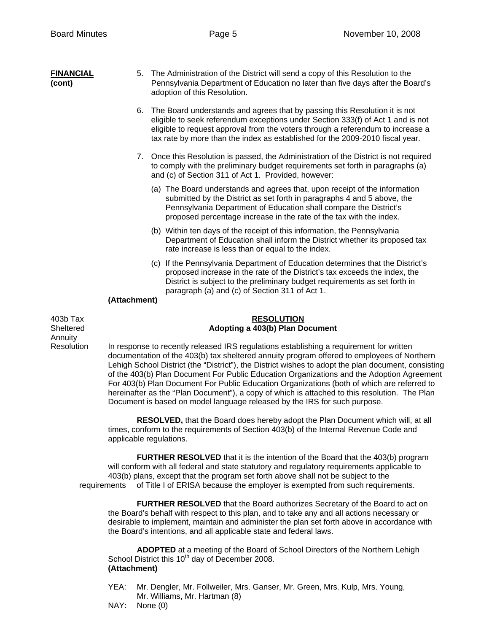| <b>FINANCIAL</b><br>(cont)       | 5.                                                                                                                                                                                    | The Administration of the District will send a copy of this Resolution to the<br>Pennsylvania Department of Education no later than five days after the Board's<br>adoption of this Resolution.                                                                                                                                   |  |
|----------------------------------|---------------------------------------------------------------------------------------------------------------------------------------------------------------------------------------|-----------------------------------------------------------------------------------------------------------------------------------------------------------------------------------------------------------------------------------------------------------------------------------------------------------------------------------|--|
|                                  | 6.                                                                                                                                                                                    | The Board understands and agrees that by passing this Resolution it is not<br>eligible to seek referendum exceptions under Section 333(f) of Act 1 and is not<br>eligible to request approval from the voters through a referendum to increase a<br>tax rate by more than the index as established for the 2009-2010 fiscal year. |  |
|                                  |                                                                                                                                                                                       | 7. Once this Resolution is passed, the Administration of the District is not required<br>to comply with the preliminary budget requirements set forth in paragraphs (a)<br>and (c) of Section 311 of Act 1. Provided, however:                                                                                                    |  |
|                                  |                                                                                                                                                                                       | (a) The Board understands and agrees that, upon receipt of the information<br>submitted by the District as set forth in paragraphs 4 and 5 above, the<br>Pennsylvania Department of Education shall compare the District's<br>proposed percentage increase in the rate of the tax with the index.                                 |  |
|                                  |                                                                                                                                                                                       | (b) Within ten days of the receipt of this information, the Pennsylvania<br>Department of Education shall inform the District whether its proposed tax<br>rate increase is less than or equal to the index.                                                                                                                       |  |
|                                  |                                                                                                                                                                                       | (c) If the Pennsylvania Department of Education determines that the District's<br>proposed increase in the rate of the District's tax exceeds the index, the<br>District is subject to the preliminary budget requirements as set forth in<br>paragraph (a) and (c) of Section 311 of Act 1.                                      |  |
|                                  | (Attachment)                                                                                                                                                                          |                                                                                                                                                                                                                                                                                                                                   |  |
| 403b Tax<br>Sheltered<br>Annuity |                                                                                                                                                                                       | <b>RESOLUTION</b><br>Adopting a 403(b) Plan Document                                                                                                                                                                                                                                                                              |  |
| Resolution                       | In response to recently released IRS regulations establishing a requirement for written<br>documentation of the 103(b) tax sheltered annuity program offered to employees of Northern |                                                                                                                                                                                                                                                                                                                                   |  |

 documentation of the 403(b) tax sheltered annuity program offered to employees of Northern Lehigh School District (the "District"), the District wishes to adopt the plan document, consisting of the 403(b) Plan Document For Public Education Organizations and the Adoption Agreement For 403(b) Plan Document For Public Education Organizations (both of which are referred to hereinafter as the "Plan Document"), a copy of which is attached to this resolution. The Plan Document is based on model language released by the IRS for such purpose.

 **RESOLVED,** that the Board does hereby adopt the Plan Document which will, at all times, conform to the requirements of Section 403(b) of the Internal Revenue Code and applicable regulations.

**FURTHER RESOLVED** that it is the intention of the Board that the 403(b) program will conform with all federal and state statutory and regulatory requirements applicable to 403(b) plans, except that the program set forth above shall not be subject to the requirements of Title I of ERISA because the employer is exempted from such requirements.

**FURTHER RESOLVED** that the Board authorizes Secretary of the Board to act on the Board's behalf with respect to this plan, and to take any and all actions necessary or desirable to implement, maintain and administer the plan set forth above in accordance with the Board's intentions, and all applicable state and federal laws.

 **ADOPTED** at a meeting of the Board of School Directors of the Northern Lehigh School District this  $10<sup>th</sup>$  day of December 2008. **(Attachment)** 

- YEA: Mr. Dengler, Mr. Follweiler, Mrs. Ganser, Mr. Green, Mrs. Kulp, Mrs. Young, Mr. Williams, Mr. Hartman (8)
- NAY: None (0)